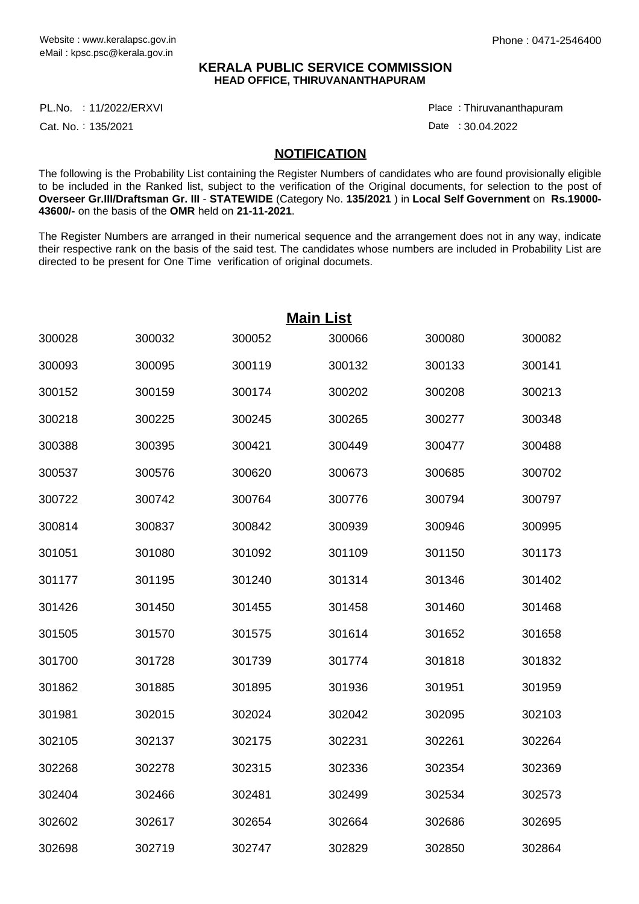## **KERALA PUBLIC SERVICE COMMISSION HEAD OFFICE, THIRUVANANTHAPURAM**

11/2022/ERXVI Place : PL.No.

Cat. No.: 135/2021

Thiruvananthapuram :

Date : 30.04.2022

## **NOTIFICATION**

The following is the Probability List containing the Register Numbers of candidates who are found provisionally eligible to be included in the Ranked list, subject to the verification of the Original documents, for selection to the post of **Overseer Gr.III/Draftsman Gr. III** - **STATEWIDE** (Category No. **135/2021** ) in **Local Self Government** on **Rs.19000- 43600/-** on the basis of the **OMR** held on **21-11-2021**.

The Register Numbers are arranged in their numerical sequence and the arrangement does not in any way, indicate their respective rank on the basis of the said test. The candidates whose numbers are included in Probability List are directed to be present for One Time verification of original documets.

| <b>Main List</b> |        |        |        |        |        |  |  |  |  |
|------------------|--------|--------|--------|--------|--------|--|--|--|--|
| 300028           | 300032 | 300052 | 300066 | 300080 | 300082 |  |  |  |  |
| 300093           | 300095 | 300119 | 300132 | 300133 | 300141 |  |  |  |  |
| 300152           | 300159 | 300174 | 300202 | 300208 | 300213 |  |  |  |  |
| 300218           | 300225 | 300245 | 300265 | 300277 | 300348 |  |  |  |  |
| 300388           | 300395 | 300421 | 300449 | 300477 | 300488 |  |  |  |  |
| 300537           | 300576 | 300620 | 300673 | 300685 | 300702 |  |  |  |  |
| 300722           | 300742 | 300764 | 300776 | 300794 | 300797 |  |  |  |  |
| 300814           | 300837 | 300842 | 300939 | 300946 | 300995 |  |  |  |  |
| 301051           | 301080 | 301092 | 301109 | 301150 | 301173 |  |  |  |  |
| 301177           | 301195 | 301240 | 301314 | 301346 | 301402 |  |  |  |  |
| 301426           | 301450 | 301455 | 301458 | 301460 | 301468 |  |  |  |  |
| 301505           | 301570 | 301575 | 301614 | 301652 | 301658 |  |  |  |  |
| 301700           | 301728 | 301739 | 301774 | 301818 | 301832 |  |  |  |  |
| 301862           | 301885 | 301895 | 301936 | 301951 | 301959 |  |  |  |  |
| 301981           | 302015 | 302024 | 302042 | 302095 | 302103 |  |  |  |  |
| 302105           | 302137 | 302175 | 302231 | 302261 | 302264 |  |  |  |  |
| 302268           | 302278 | 302315 | 302336 | 302354 | 302369 |  |  |  |  |
| 302404           | 302466 | 302481 | 302499 | 302534 | 302573 |  |  |  |  |
| 302602           | 302617 | 302654 | 302664 | 302686 | 302695 |  |  |  |  |
| 302698           | 302719 | 302747 | 302829 | 302850 | 302864 |  |  |  |  |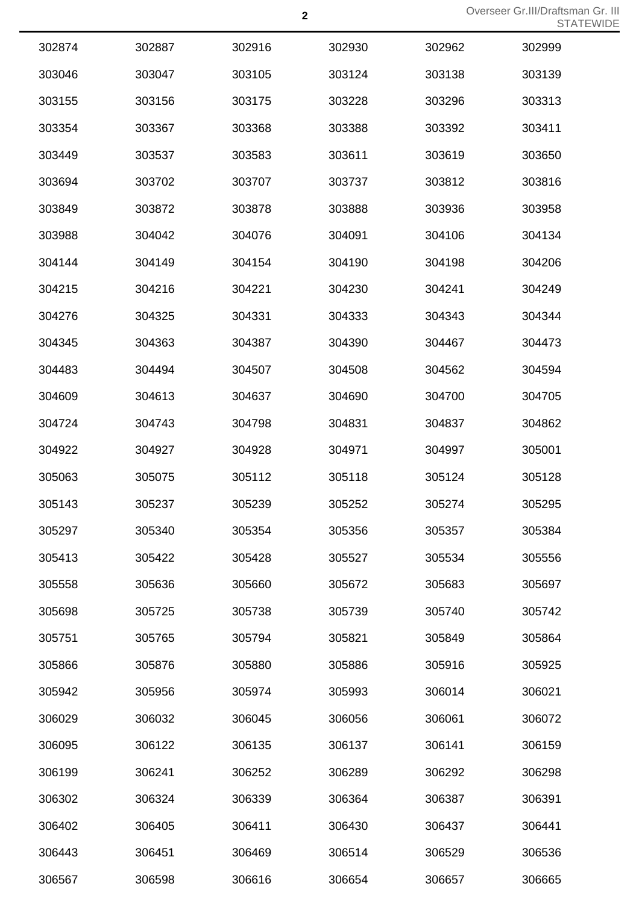| 302874 | 302887 | 302916 | 302930 | 302962 | 302999 |
|--------|--------|--------|--------|--------|--------|
| 303046 | 303047 | 303105 | 303124 | 303138 | 303139 |
| 303155 | 303156 | 303175 | 303228 | 303296 | 303313 |
| 303354 | 303367 | 303368 | 303388 | 303392 | 303411 |
| 303449 | 303537 | 303583 | 303611 | 303619 | 303650 |
| 303694 | 303702 | 303707 | 303737 | 303812 | 303816 |
| 303849 | 303872 | 303878 | 303888 | 303936 | 303958 |
| 303988 | 304042 | 304076 | 304091 | 304106 | 304134 |
| 304144 | 304149 | 304154 | 304190 | 304198 | 304206 |
| 304215 | 304216 | 304221 | 304230 | 304241 | 304249 |
| 304276 | 304325 | 304331 | 304333 | 304343 | 304344 |
| 304345 | 304363 | 304387 | 304390 | 304467 | 304473 |
| 304483 | 304494 | 304507 | 304508 | 304562 | 304594 |
| 304609 | 304613 | 304637 | 304690 | 304700 | 304705 |
| 304724 | 304743 | 304798 | 304831 | 304837 | 304862 |
| 304922 | 304927 | 304928 | 304971 | 304997 | 305001 |
| 305063 | 305075 | 305112 | 305118 | 305124 | 305128 |
| 305143 | 305237 | 305239 | 305252 | 305274 | 305295 |
| 305297 | 305340 | 305354 | 305356 | 305357 | 305384 |
| 305413 | 305422 | 305428 | 305527 | 305534 | 305556 |
| 305558 | 305636 | 305660 | 305672 | 305683 | 305697 |
| 305698 | 305725 | 305738 | 305739 | 305740 | 305742 |
| 305751 | 305765 | 305794 | 305821 | 305849 | 305864 |
| 305866 | 305876 | 305880 | 305886 | 305916 | 305925 |
| 305942 | 305956 | 305974 | 305993 | 306014 | 306021 |
| 306029 | 306032 | 306045 | 306056 | 306061 | 306072 |
| 306095 | 306122 | 306135 | 306137 | 306141 | 306159 |
| 306199 | 306241 | 306252 | 306289 | 306292 | 306298 |
| 306302 | 306324 | 306339 | 306364 | 306387 | 306391 |
| 306402 | 306405 | 306411 | 306430 | 306437 | 306441 |
| 306443 | 306451 | 306469 | 306514 | 306529 | 306536 |
| 306567 | 306598 | 306616 | 306654 | 306657 | 306665 |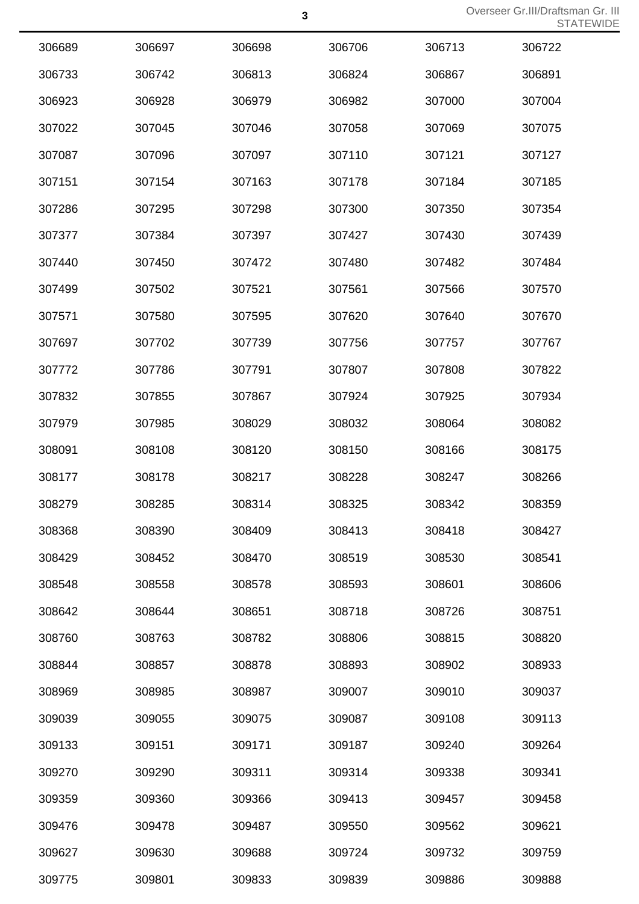| 306689 | 306697 | 306698 | 306706 | 306713 | 306722 |
|--------|--------|--------|--------|--------|--------|
| 306733 | 306742 | 306813 | 306824 | 306867 | 306891 |
| 306923 | 306928 | 306979 | 306982 | 307000 | 307004 |
| 307022 | 307045 | 307046 | 307058 | 307069 | 307075 |
| 307087 | 307096 | 307097 | 307110 | 307121 | 307127 |
| 307151 | 307154 | 307163 | 307178 | 307184 | 307185 |
| 307286 | 307295 | 307298 | 307300 | 307350 | 307354 |
| 307377 | 307384 | 307397 | 307427 | 307430 | 307439 |
| 307440 | 307450 | 307472 | 307480 | 307482 | 307484 |
| 307499 | 307502 | 307521 | 307561 | 307566 | 307570 |
| 307571 | 307580 | 307595 | 307620 | 307640 | 307670 |
| 307697 | 307702 | 307739 | 307756 | 307757 | 307767 |
| 307772 | 307786 | 307791 | 307807 | 307808 | 307822 |
| 307832 | 307855 | 307867 | 307924 | 307925 | 307934 |
| 307979 | 307985 | 308029 | 308032 | 308064 | 308082 |
| 308091 | 308108 | 308120 | 308150 | 308166 | 308175 |
| 308177 | 308178 | 308217 | 308228 | 308247 | 308266 |
| 308279 | 308285 | 308314 | 308325 | 308342 | 308359 |
| 308368 | 308390 | 308409 | 308413 | 308418 | 308427 |
| 308429 | 308452 | 308470 | 308519 | 308530 | 308541 |
| 308548 | 308558 | 308578 | 308593 | 308601 | 308606 |
| 308642 | 308644 | 308651 | 308718 | 308726 | 308751 |
| 308760 | 308763 | 308782 | 308806 | 308815 | 308820 |
| 308844 | 308857 | 308878 | 308893 | 308902 | 308933 |
| 308969 | 308985 | 308987 | 309007 | 309010 | 309037 |
| 309039 | 309055 | 309075 | 309087 | 309108 | 309113 |
| 309133 | 309151 | 309171 | 309187 | 309240 | 309264 |
| 309270 | 309290 | 309311 | 309314 | 309338 | 309341 |
| 309359 | 309360 | 309366 | 309413 | 309457 | 309458 |
| 309476 | 309478 | 309487 | 309550 | 309562 | 309621 |
| 309627 | 309630 | 309688 | 309724 | 309732 | 309759 |
| 309775 | 309801 | 309833 | 309839 | 309886 | 309888 |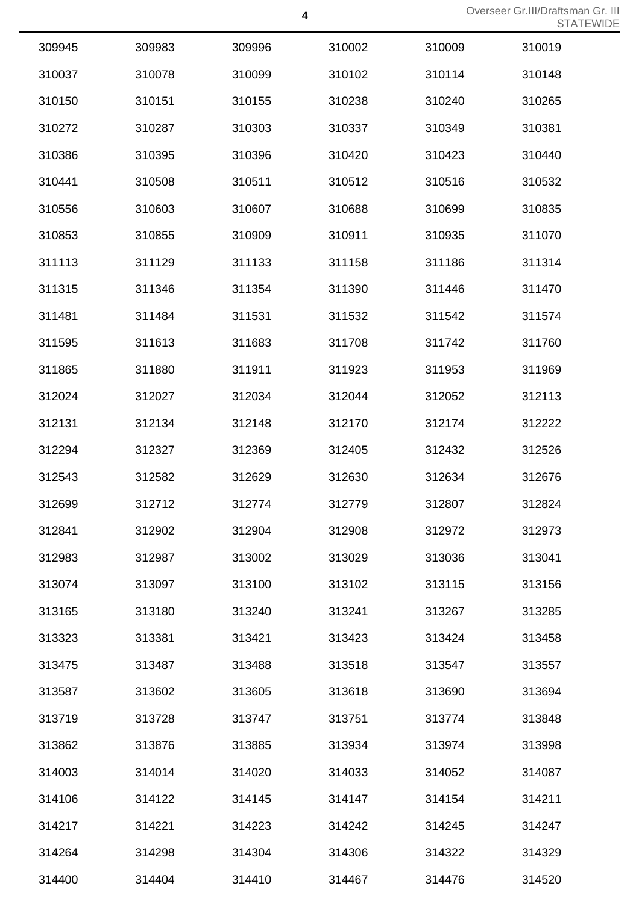| 309945 | 309983 | 309996 | 310002 | 310009 | 310019 |
|--------|--------|--------|--------|--------|--------|
| 310037 | 310078 | 310099 | 310102 | 310114 | 310148 |
| 310150 | 310151 | 310155 | 310238 | 310240 | 310265 |
| 310272 | 310287 | 310303 | 310337 | 310349 | 310381 |
| 310386 | 310395 | 310396 | 310420 | 310423 | 310440 |
| 310441 | 310508 | 310511 | 310512 | 310516 | 310532 |
| 310556 | 310603 | 310607 | 310688 | 310699 | 310835 |
| 310853 | 310855 | 310909 | 310911 | 310935 | 311070 |
| 311113 | 311129 | 311133 | 311158 | 311186 | 311314 |
| 311315 | 311346 | 311354 | 311390 | 311446 | 311470 |
| 311481 | 311484 | 311531 | 311532 | 311542 | 311574 |
| 311595 | 311613 | 311683 | 311708 | 311742 | 311760 |
| 311865 | 311880 | 311911 | 311923 | 311953 | 311969 |
| 312024 | 312027 | 312034 | 312044 | 312052 | 312113 |
| 312131 | 312134 | 312148 | 312170 | 312174 | 312222 |
| 312294 | 312327 | 312369 | 312405 | 312432 | 312526 |
| 312543 | 312582 | 312629 | 312630 | 312634 | 312676 |
| 312699 | 312712 | 312774 | 312779 | 312807 | 312824 |
| 312841 | 312902 | 312904 | 312908 | 312972 | 312973 |
| 312983 | 312987 | 313002 | 313029 | 313036 | 313041 |
| 313074 | 313097 | 313100 | 313102 | 313115 | 313156 |
| 313165 | 313180 | 313240 | 313241 | 313267 | 313285 |
| 313323 | 313381 | 313421 | 313423 | 313424 | 313458 |
| 313475 | 313487 | 313488 | 313518 | 313547 | 313557 |
| 313587 | 313602 | 313605 | 313618 | 313690 | 313694 |
| 313719 | 313728 | 313747 | 313751 | 313774 | 313848 |
| 313862 | 313876 | 313885 | 313934 | 313974 | 313998 |
| 314003 | 314014 | 314020 | 314033 | 314052 | 314087 |
| 314106 | 314122 | 314145 | 314147 | 314154 | 314211 |
| 314217 | 314221 | 314223 | 314242 | 314245 | 314247 |
| 314264 | 314298 | 314304 | 314306 | 314322 | 314329 |
| 314400 | 314404 | 314410 | 314467 | 314476 | 314520 |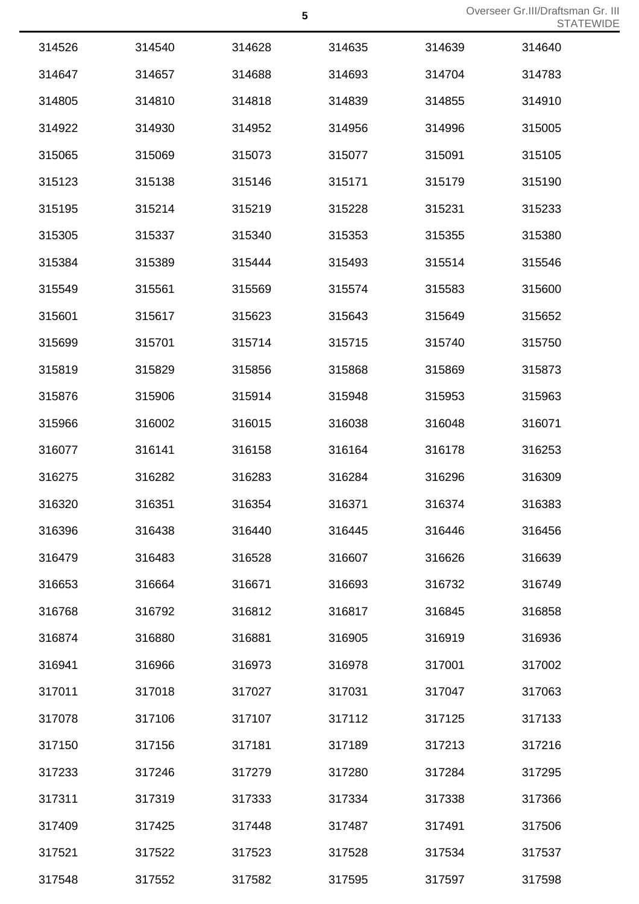| 314526 | 314540 | 314628 | 314635 | 314639 | 314640 |
|--------|--------|--------|--------|--------|--------|
| 314647 | 314657 | 314688 | 314693 | 314704 | 314783 |
| 314805 | 314810 | 314818 | 314839 | 314855 | 314910 |
| 314922 | 314930 | 314952 | 314956 | 314996 | 315005 |
| 315065 | 315069 | 315073 | 315077 | 315091 | 315105 |
| 315123 | 315138 | 315146 | 315171 | 315179 | 315190 |
| 315195 | 315214 | 315219 | 315228 | 315231 | 315233 |
| 315305 | 315337 | 315340 | 315353 | 315355 | 315380 |
| 315384 | 315389 | 315444 | 315493 | 315514 | 315546 |
| 315549 | 315561 | 315569 | 315574 | 315583 | 315600 |
| 315601 | 315617 | 315623 | 315643 | 315649 | 315652 |
| 315699 | 315701 | 315714 | 315715 | 315740 | 315750 |
| 315819 | 315829 | 315856 | 315868 | 315869 | 315873 |
| 315876 | 315906 | 315914 | 315948 | 315953 | 315963 |
| 315966 | 316002 | 316015 | 316038 | 316048 | 316071 |
| 316077 | 316141 | 316158 | 316164 | 316178 | 316253 |
| 316275 | 316282 | 316283 | 316284 | 316296 | 316309 |
| 316320 | 316351 | 316354 | 316371 | 316374 | 316383 |
| 316396 | 316438 | 316440 | 316445 | 316446 | 316456 |
| 316479 | 316483 | 316528 | 316607 | 316626 | 316639 |
| 316653 | 316664 | 316671 | 316693 | 316732 | 316749 |
| 316768 | 316792 | 316812 | 316817 | 316845 | 316858 |
| 316874 | 316880 | 316881 | 316905 | 316919 | 316936 |
| 316941 | 316966 | 316973 | 316978 | 317001 | 317002 |
| 317011 | 317018 | 317027 | 317031 | 317047 | 317063 |
| 317078 | 317106 | 317107 | 317112 | 317125 | 317133 |
| 317150 | 317156 | 317181 | 317189 | 317213 | 317216 |
| 317233 | 317246 | 317279 | 317280 | 317284 | 317295 |
| 317311 | 317319 | 317333 | 317334 | 317338 | 317366 |
| 317409 | 317425 | 317448 | 317487 | 317491 | 317506 |
| 317521 | 317522 | 317523 | 317528 | 317534 | 317537 |
| 317548 | 317552 | 317582 | 317595 | 317597 | 317598 |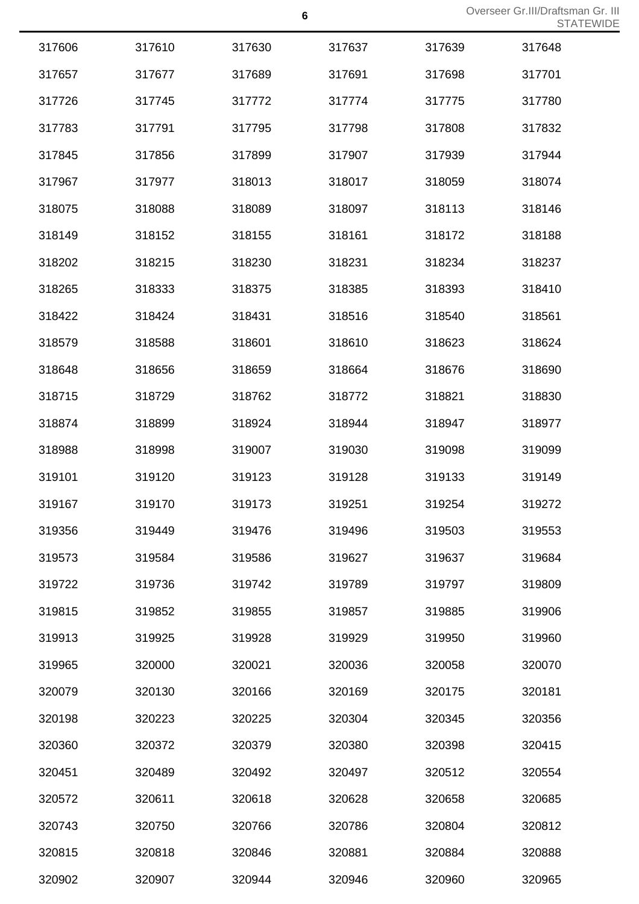| 317606 | 317610 | 317630 | 317637 | 317639 | 317648 |
|--------|--------|--------|--------|--------|--------|
| 317657 | 317677 | 317689 | 317691 | 317698 | 317701 |
| 317726 | 317745 | 317772 | 317774 | 317775 | 317780 |
| 317783 | 317791 | 317795 | 317798 | 317808 | 317832 |
| 317845 | 317856 | 317899 | 317907 | 317939 | 317944 |
| 317967 | 317977 | 318013 | 318017 | 318059 | 318074 |
| 318075 | 318088 | 318089 | 318097 | 318113 | 318146 |
| 318149 | 318152 | 318155 | 318161 | 318172 | 318188 |
| 318202 | 318215 | 318230 | 318231 | 318234 | 318237 |
| 318265 | 318333 | 318375 | 318385 | 318393 | 318410 |
| 318422 | 318424 | 318431 | 318516 | 318540 | 318561 |
| 318579 | 318588 | 318601 | 318610 | 318623 | 318624 |
| 318648 | 318656 | 318659 | 318664 | 318676 | 318690 |
| 318715 | 318729 | 318762 | 318772 | 318821 | 318830 |
| 318874 | 318899 | 318924 | 318944 | 318947 | 318977 |
| 318988 | 318998 | 319007 | 319030 | 319098 | 319099 |
| 319101 | 319120 | 319123 | 319128 | 319133 | 319149 |
| 319167 | 319170 | 319173 | 319251 | 319254 | 319272 |
| 319356 | 319449 | 319476 | 319496 | 319503 | 319553 |
| 319573 | 319584 | 319586 | 319627 | 319637 | 319684 |
| 319722 | 319736 | 319742 | 319789 | 319797 | 319809 |
| 319815 | 319852 | 319855 | 319857 | 319885 | 319906 |
| 319913 | 319925 | 319928 | 319929 | 319950 | 319960 |
| 319965 | 320000 | 320021 | 320036 | 320058 | 320070 |
| 320079 | 320130 | 320166 | 320169 | 320175 | 320181 |
| 320198 | 320223 | 320225 | 320304 | 320345 | 320356 |
| 320360 | 320372 | 320379 | 320380 | 320398 | 320415 |
| 320451 | 320489 | 320492 | 320497 | 320512 | 320554 |
| 320572 | 320611 | 320618 | 320628 | 320658 | 320685 |
| 320743 | 320750 | 320766 | 320786 | 320804 | 320812 |
| 320815 | 320818 | 320846 | 320881 | 320884 | 320888 |
| 320902 | 320907 | 320944 | 320946 | 320960 | 320965 |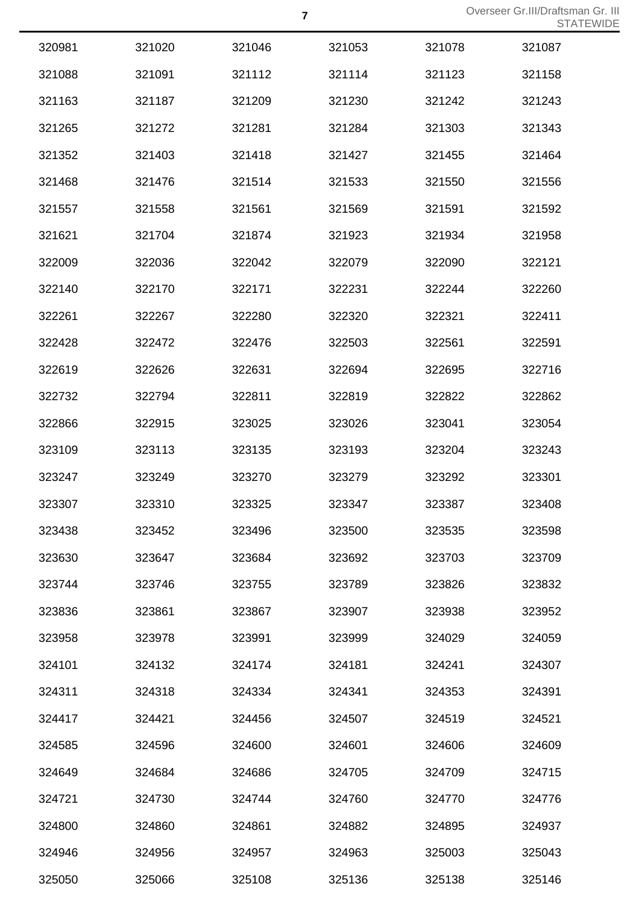| 320981 | 321020 | 321046 | 321053 | 321078 | 321087 |
|--------|--------|--------|--------|--------|--------|
| 321088 | 321091 | 321112 | 321114 | 321123 | 321158 |
| 321163 | 321187 | 321209 | 321230 | 321242 | 321243 |
| 321265 | 321272 | 321281 | 321284 | 321303 | 321343 |
| 321352 | 321403 | 321418 | 321427 | 321455 | 321464 |
| 321468 | 321476 | 321514 | 321533 | 321550 | 321556 |
| 321557 | 321558 | 321561 | 321569 | 321591 | 321592 |
| 321621 | 321704 | 321874 | 321923 | 321934 | 321958 |
| 322009 | 322036 | 322042 | 322079 | 322090 | 322121 |
| 322140 | 322170 | 322171 | 322231 | 322244 | 322260 |
| 322261 | 322267 | 322280 | 322320 | 322321 | 322411 |
| 322428 | 322472 | 322476 | 322503 | 322561 | 322591 |
| 322619 | 322626 | 322631 | 322694 | 322695 | 322716 |
| 322732 | 322794 | 322811 | 322819 | 322822 | 322862 |
| 322866 | 322915 | 323025 | 323026 | 323041 | 323054 |
| 323109 | 323113 | 323135 | 323193 | 323204 | 323243 |
| 323247 | 323249 | 323270 | 323279 | 323292 | 323301 |
| 323307 | 323310 | 323325 | 323347 | 323387 | 323408 |
| 323438 | 323452 | 323496 | 323500 | 323535 | 323598 |
| 323630 | 323647 | 323684 | 323692 | 323703 | 323709 |
| 323744 | 323746 | 323755 | 323789 | 323826 | 323832 |
| 323836 | 323861 | 323867 | 323907 | 323938 | 323952 |
| 323958 | 323978 | 323991 | 323999 | 324029 | 324059 |
| 324101 | 324132 | 324174 | 324181 | 324241 | 324307 |
| 324311 | 324318 | 324334 | 324341 | 324353 | 324391 |
| 324417 | 324421 | 324456 | 324507 | 324519 | 324521 |
| 324585 | 324596 | 324600 | 324601 | 324606 | 324609 |
| 324649 | 324684 | 324686 | 324705 | 324709 | 324715 |
| 324721 | 324730 | 324744 | 324760 | 324770 | 324776 |
| 324800 | 324860 | 324861 | 324882 | 324895 | 324937 |
| 324946 | 324956 | 324957 | 324963 | 325003 | 325043 |
| 325050 | 325066 | 325108 | 325136 | 325138 | 325146 |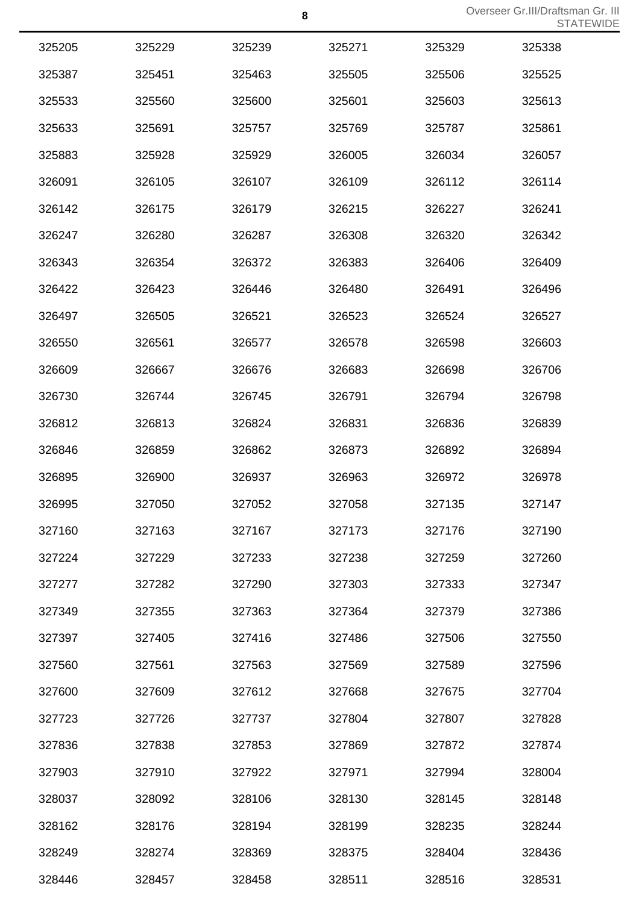| 325205 | 325229 | 325239 | 325271 | 325329 | 325338 |
|--------|--------|--------|--------|--------|--------|
| 325387 | 325451 | 325463 | 325505 | 325506 | 325525 |
| 325533 | 325560 | 325600 | 325601 | 325603 | 325613 |
| 325633 | 325691 | 325757 | 325769 | 325787 | 325861 |
| 325883 | 325928 | 325929 | 326005 | 326034 | 326057 |
| 326091 | 326105 | 326107 | 326109 | 326112 | 326114 |
| 326142 | 326175 | 326179 | 326215 | 326227 | 326241 |
| 326247 | 326280 | 326287 | 326308 | 326320 | 326342 |
| 326343 | 326354 | 326372 | 326383 | 326406 | 326409 |
| 326422 | 326423 | 326446 | 326480 | 326491 | 326496 |
| 326497 | 326505 | 326521 | 326523 | 326524 | 326527 |
| 326550 | 326561 | 326577 | 326578 | 326598 | 326603 |
| 326609 | 326667 | 326676 | 326683 | 326698 | 326706 |
| 326730 | 326744 | 326745 | 326791 | 326794 | 326798 |
| 326812 | 326813 | 326824 | 326831 | 326836 | 326839 |
| 326846 | 326859 | 326862 | 326873 | 326892 | 326894 |
| 326895 | 326900 | 326937 | 326963 | 326972 | 326978 |
| 326995 | 327050 | 327052 | 327058 | 327135 | 327147 |
| 327160 | 327163 | 327167 | 327173 | 327176 | 327190 |
| 327224 | 327229 | 327233 | 327238 | 327259 | 327260 |
| 327277 | 327282 | 327290 | 327303 | 327333 | 327347 |
| 327349 | 327355 | 327363 | 327364 | 327379 | 327386 |
| 327397 | 327405 | 327416 | 327486 | 327506 | 327550 |
| 327560 | 327561 | 327563 | 327569 | 327589 | 327596 |
| 327600 | 327609 | 327612 | 327668 | 327675 | 327704 |
| 327723 | 327726 | 327737 | 327804 | 327807 | 327828 |
| 327836 | 327838 | 327853 | 327869 | 327872 | 327874 |
| 327903 | 327910 | 327922 | 327971 | 327994 | 328004 |
| 328037 | 328092 | 328106 | 328130 | 328145 | 328148 |
| 328162 | 328176 | 328194 | 328199 | 328235 | 328244 |
| 328249 | 328274 | 328369 | 328375 | 328404 | 328436 |
| 328446 | 328457 | 328458 | 328511 | 328516 | 328531 |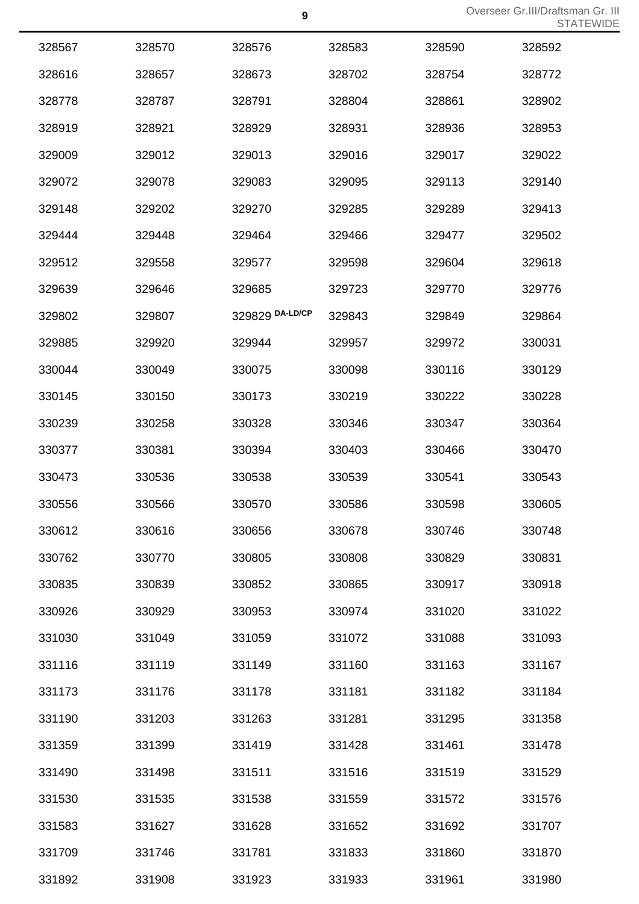|        |        |                 |        |        | ---    |
|--------|--------|-----------------|--------|--------|--------|
| 328567 | 328570 | 328576          | 328583 | 328590 | 328592 |
| 328616 | 328657 | 328673          | 328702 | 328754 | 328772 |
| 328778 | 328787 | 328791          | 328804 | 328861 | 328902 |
| 328919 | 328921 | 328929          | 328931 | 328936 | 328953 |
| 329009 | 329012 | 329013          | 329016 | 329017 | 329022 |
| 329072 | 329078 | 329083          | 329095 | 329113 | 329140 |
| 329148 | 329202 | 329270          | 329285 | 329289 | 329413 |
| 329444 | 329448 | 329464          | 329466 | 329477 | 329502 |
| 329512 | 329558 | 329577          | 329598 | 329604 | 329618 |
| 329639 | 329646 | 329685          | 329723 | 329770 | 329776 |
| 329802 | 329807 | 329829 DA-LD/CP | 329843 | 329849 | 329864 |
| 329885 | 329920 | 329944          | 329957 | 329972 | 330031 |
| 330044 | 330049 | 330075          | 330098 | 330116 | 330129 |
| 330145 | 330150 | 330173          | 330219 | 330222 | 330228 |
| 330239 | 330258 | 330328          | 330346 | 330347 | 330364 |
| 330377 | 330381 | 330394          | 330403 | 330466 | 330470 |
| 330473 | 330536 | 330538          | 330539 | 330541 | 330543 |
| 330556 | 330566 | 330570          | 330586 | 330598 | 330605 |
| 330612 | 330616 | 330656          | 330678 | 330746 | 330748 |
| 330762 | 330770 | 330805          | 330808 | 330829 | 330831 |
| 330835 | 330839 | 330852          | 330865 | 330917 | 330918 |
| 330926 | 330929 | 330953          | 330974 | 331020 | 331022 |
| 331030 | 331049 | 331059          | 331072 | 331088 | 331093 |
| 331116 | 331119 | 331149          | 331160 | 331163 | 331167 |
| 331173 | 331176 | 331178          | 331181 | 331182 | 331184 |
| 331190 | 331203 | 331263          | 331281 | 331295 | 331358 |
| 331359 | 331399 | 331419          | 331428 | 331461 | 331478 |
| 331490 | 331498 | 331511          | 331516 | 331519 | 331529 |
| 331530 | 331535 | 331538          | 331559 | 331572 | 331576 |
| 331583 | 331627 | 331628          | 331652 | 331692 | 331707 |
| 331709 | 331746 | 331781          | 331833 | 331860 | 331870 |
| 331892 | 331908 | 331923          | 331933 | 331961 | 331980 |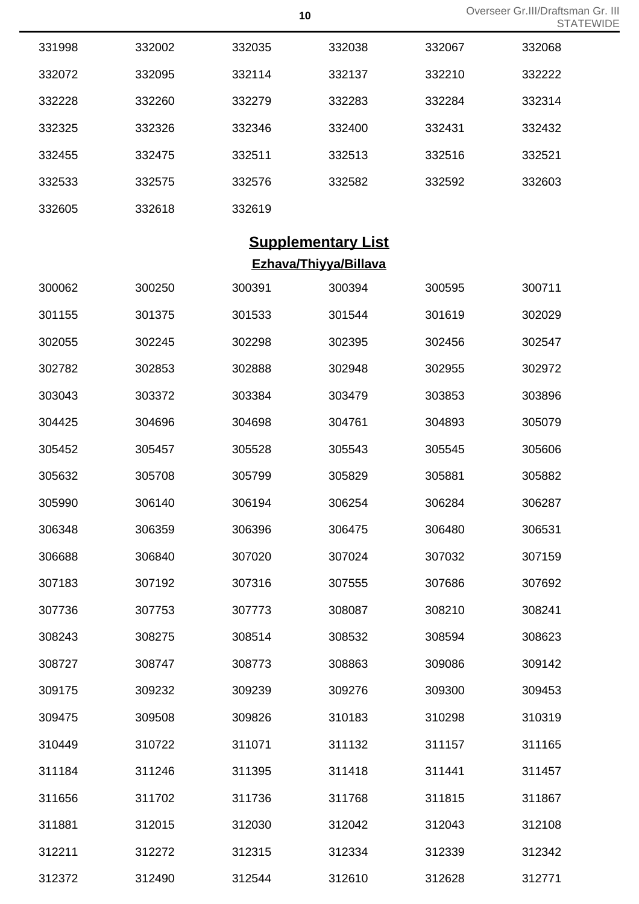Overseer Gr.III/Draftsman Gr. III<br> **10** Overseer Gr.III/Draftsman Gr. TEWIDE

|        |        |        |                           |        | <b>STA</b> |
|--------|--------|--------|---------------------------|--------|------------|
| 331998 | 332002 | 332035 | 332038                    | 332067 | 332068     |
| 332072 | 332095 | 332114 | 332137                    | 332210 | 332222     |
| 332228 | 332260 | 332279 | 332283                    | 332284 | 332314     |
| 332325 | 332326 | 332346 | 332400                    | 332431 | 332432     |
| 332455 | 332475 | 332511 | 332513                    | 332516 | 332521     |
| 332533 | 332575 | 332576 | 332582                    | 332592 | 332603     |
| 332605 | 332618 | 332619 |                           |        |            |
|        |        |        | <b>Supplementary List</b> |        |            |
|        |        |        | Ezhava/Thiyya/Billava     |        |            |
| 300062 | 300250 | 300391 | 300394                    | 300595 | 300711     |
| 301155 | 301375 | 301533 | 301544                    | 301619 | 302029     |
| 302055 | 302245 | 302298 | 302395                    | 302456 | 302547     |
| 302782 | 302853 | 302888 | 302948                    | 302955 | 302972     |
| 303043 | 303372 | 303384 | 303479                    | 303853 | 303896     |
| 304425 | 304696 | 304698 | 304761                    | 304893 | 305079     |
| 305452 | 305457 | 305528 | 305543                    | 305545 | 305606     |
| 305632 | 305708 | 305799 | 305829                    | 305881 | 305882     |
| 305990 | 306140 | 306194 | 306254                    | 306284 | 306287     |
| 306348 | 306359 | 306396 | 306475                    | 306480 | 306531     |
| 306688 | 306840 | 307020 | 307024                    | 307032 | 307159     |
| 307183 | 307192 | 307316 | 307555                    | 307686 | 307692     |
| 307736 | 307753 | 307773 | 308087                    | 308210 | 308241     |
| 308243 | 308275 | 308514 | 308532                    | 308594 | 308623     |
| 308727 | 308747 | 308773 | 308863                    | 309086 | 309142     |
| 309175 | 309232 | 309239 | 309276                    | 309300 | 309453     |
| 309475 | 309508 | 309826 | 310183                    | 310298 | 310319     |
| 310449 | 310722 | 311071 | 311132                    | 311157 | 311165     |
| 311184 | 311246 | 311395 | 311418                    | 311441 | 311457     |
| 311656 | 311702 | 311736 | 311768                    | 311815 | 311867     |
| 311881 | 312015 | 312030 | 312042                    | 312043 | 312108     |
| 312211 | 312272 | 312315 | 312334                    | 312339 | 312342     |
|        |        |        |                           |        |            |

312490 312544 312610 312628 312771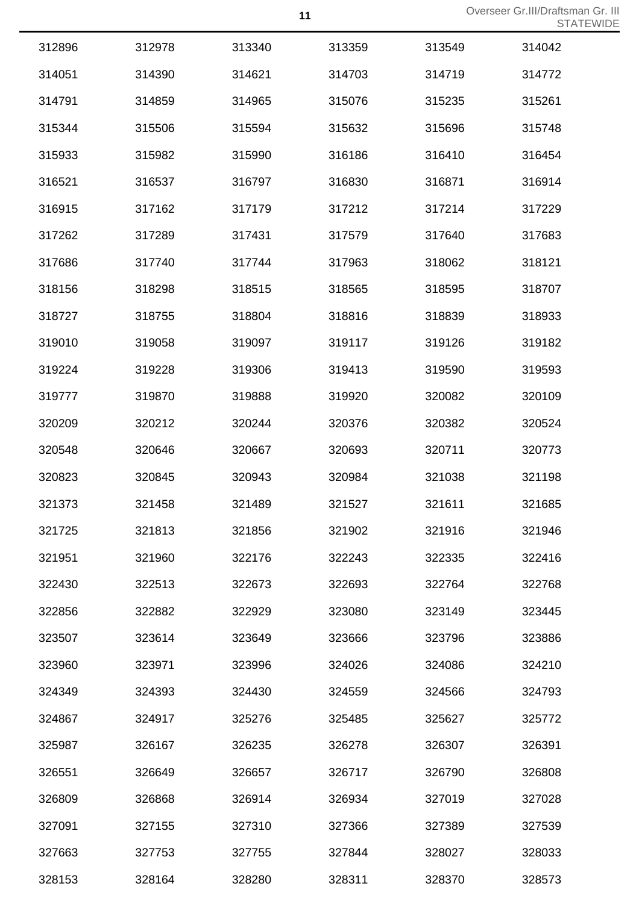| 312896 | 312978 | 313340 | 313359 | 313549 | 314042 |
|--------|--------|--------|--------|--------|--------|
| 314051 | 314390 | 314621 | 314703 | 314719 | 314772 |
| 314791 | 314859 | 314965 | 315076 | 315235 | 315261 |
| 315344 | 315506 | 315594 | 315632 | 315696 | 315748 |
| 315933 | 315982 | 315990 | 316186 | 316410 | 316454 |
| 316521 | 316537 | 316797 | 316830 | 316871 | 316914 |
| 316915 | 317162 | 317179 | 317212 | 317214 | 317229 |
| 317262 | 317289 | 317431 | 317579 | 317640 | 317683 |
| 317686 | 317740 | 317744 | 317963 | 318062 | 318121 |
| 318156 | 318298 | 318515 | 318565 | 318595 | 318707 |
| 318727 | 318755 | 318804 | 318816 | 318839 | 318933 |
| 319010 | 319058 | 319097 | 319117 | 319126 | 319182 |
| 319224 | 319228 | 319306 | 319413 | 319590 | 319593 |
| 319777 | 319870 | 319888 | 319920 | 320082 | 320109 |
| 320209 | 320212 | 320244 | 320376 | 320382 | 320524 |
| 320548 | 320646 | 320667 | 320693 | 320711 | 320773 |
| 320823 | 320845 | 320943 | 320984 | 321038 | 321198 |
| 321373 | 321458 | 321489 | 321527 | 321611 | 321685 |
| 321725 | 321813 | 321856 | 321902 | 321916 | 321946 |
| 321951 | 321960 | 322176 | 322243 | 322335 | 322416 |
| 322430 | 322513 | 322673 | 322693 | 322764 | 322768 |
| 322856 | 322882 | 322929 | 323080 | 323149 | 323445 |
| 323507 | 323614 | 323649 | 323666 | 323796 | 323886 |
| 323960 | 323971 | 323996 | 324026 | 324086 | 324210 |
| 324349 | 324393 | 324430 | 324559 | 324566 | 324793 |
| 324867 | 324917 | 325276 | 325485 | 325627 | 325772 |
| 325987 | 326167 | 326235 | 326278 | 326307 | 326391 |
| 326551 | 326649 | 326657 | 326717 | 326790 | 326808 |
| 326809 | 326868 | 326914 | 326934 | 327019 | 327028 |
| 327091 | 327155 | 327310 | 327366 | 327389 | 327539 |
| 327663 | 327753 | 327755 | 327844 | 328027 | 328033 |
| 328153 | 328164 | 328280 | 328311 | 328370 | 328573 |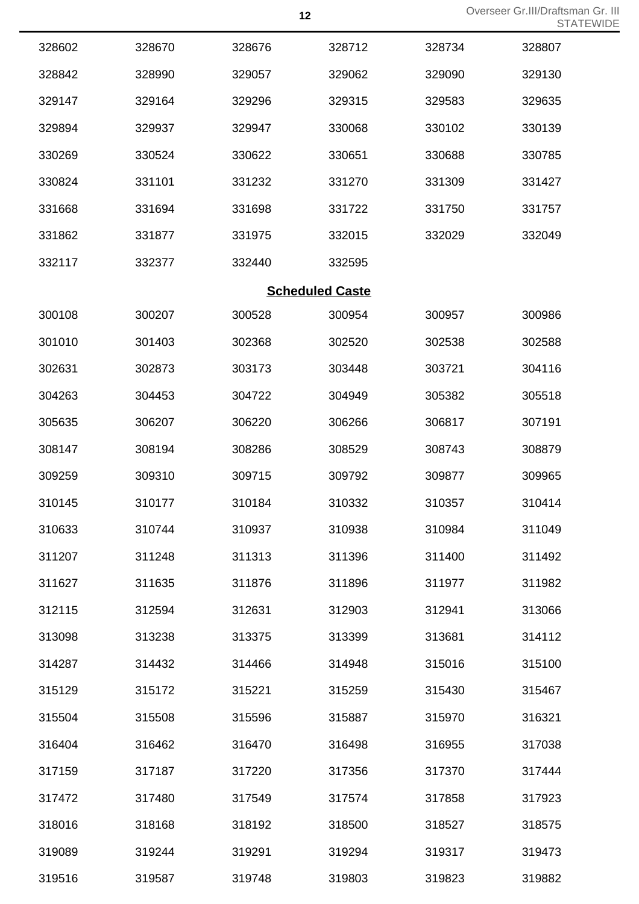|        |        |                        |        |        | 5 I A  |
|--------|--------|------------------------|--------|--------|--------|
| 328602 | 328670 | 328676                 | 328712 | 328734 | 328807 |
| 328842 | 328990 | 329057                 | 329062 | 329090 | 329130 |
| 329147 | 329164 | 329296                 | 329315 | 329583 | 329635 |
| 329894 | 329937 | 329947                 | 330068 | 330102 | 330139 |
| 330269 | 330524 | 330622                 | 330651 | 330688 | 330785 |
| 330824 | 331101 | 331232                 | 331270 | 331309 | 331427 |
| 331668 | 331694 | 331698                 | 331722 | 331750 | 331757 |
| 331862 | 331877 | 331975                 | 332015 | 332029 | 332049 |
| 332117 | 332377 | 332440                 | 332595 |        |        |
|        |        | <b>Scheduled Caste</b> |        |        |        |
| 300108 | 300207 | 300528                 | 300954 | 300957 | 300986 |
| 301010 | 301403 | 302368                 | 302520 | 302538 | 302588 |
| 302631 | 302873 | 303173                 | 303448 | 303721 | 304116 |
| 304263 | 304453 | 304722                 | 304949 | 305382 | 305518 |
| 305635 | 306207 | 306220                 | 306266 | 306817 | 307191 |
| 308147 | 308194 | 308286                 | 308529 | 308743 | 308879 |
| 309259 | 309310 | 309715                 | 309792 | 309877 | 309965 |
| 310145 | 310177 | 310184                 | 310332 | 310357 | 310414 |
| 310633 | 310744 | 310937                 | 310938 | 310984 | 311049 |
| 311207 | 311248 | 311313                 | 311396 | 311400 | 311492 |
| 311627 | 311635 | 311876                 | 311896 | 311977 | 311982 |
| 312115 | 312594 | 312631                 | 312903 | 312941 | 313066 |
| 313098 | 313238 | 313375                 | 313399 | 313681 | 314112 |
| 314287 | 314432 | 314466                 | 314948 | 315016 | 315100 |
| 315129 | 315172 | 315221                 | 315259 | 315430 | 315467 |
| 315504 | 315508 | 315596                 | 315887 | 315970 | 316321 |
| 316404 | 316462 | 316470                 | 316498 | 316955 | 317038 |
| 317159 | 317187 | 317220                 | 317356 | 317370 | 317444 |
| 317472 | 317480 | 317549                 | 317574 | 317858 | 317923 |
| 318016 | 318168 | 318192                 | 318500 | 318527 | 318575 |
| 319089 | 319244 | 319291                 | 319294 | 319317 | 319473 |
| 319516 | 319587 | 319748                 | 319803 | 319823 | 319882 |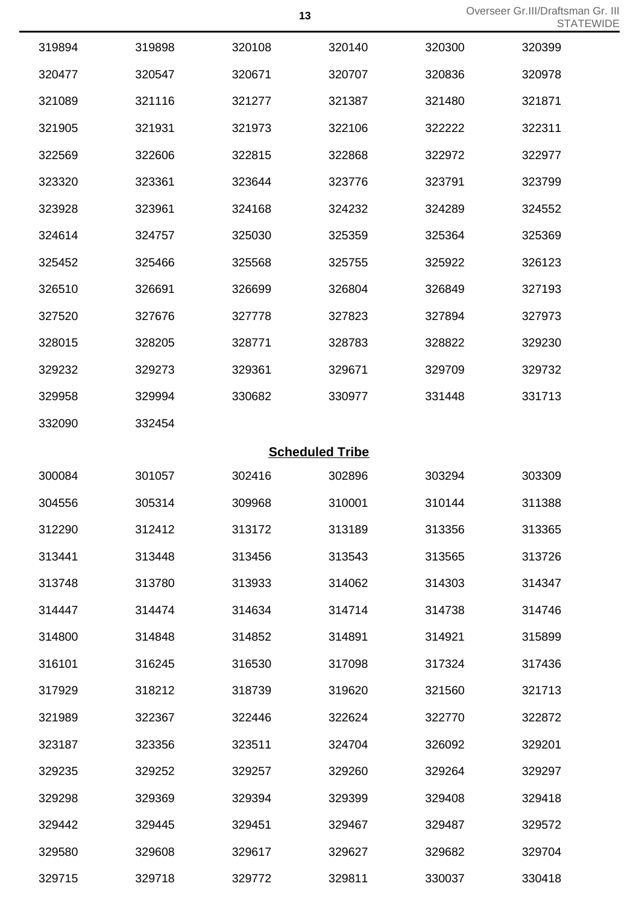|        |        |        |                        |        | ◡╷┌    |
|--------|--------|--------|------------------------|--------|--------|
| 319894 | 319898 | 320108 | 320140                 | 320300 | 320399 |
| 320477 | 320547 | 320671 | 320707                 | 320836 | 320978 |
| 321089 | 321116 | 321277 | 321387                 | 321480 | 321871 |
| 321905 | 321931 | 321973 | 322106                 | 322222 | 322311 |
| 322569 | 322606 | 322815 | 322868                 | 322972 | 322977 |
| 323320 | 323361 | 323644 | 323776                 | 323791 | 323799 |
| 323928 | 323961 | 324168 | 324232                 | 324289 | 324552 |
| 324614 | 324757 | 325030 | 325359                 | 325364 | 325369 |
| 325452 | 325466 | 325568 | 325755                 | 325922 | 326123 |
| 326510 | 326691 | 326699 | 326804                 | 326849 | 327193 |
| 327520 | 327676 | 327778 | 327823                 | 327894 | 327973 |
| 328015 | 328205 | 328771 | 328783                 | 328822 | 329230 |
| 329232 | 329273 | 329361 | 329671                 | 329709 | 329732 |
| 329958 | 329994 | 330682 | 330977                 | 331448 | 331713 |
| 332090 | 332454 |        |                        |        |        |
|        |        |        | <b>Scheduled Tribe</b> |        |        |
| 300084 | 301057 | 302416 | 302896                 | 303294 | 303309 |
| 304556 | 305314 | 309968 | 310001                 | 310144 | 311388 |
| 312290 | 312412 | 313172 | 313189                 | 313356 | 313365 |
| 313441 | 313448 | 313456 | 313543                 | 313565 | 313726 |
| 313748 | 313780 | 313933 | 314062                 | 314303 | 314347 |
| 314447 | 314474 | 314634 | 314714                 | 314738 | 314746 |
| 314800 | 314848 | 314852 | 314891                 | 314921 | 315899 |
| 316101 | 316245 | 316530 | 317098                 | 317324 | 317436 |
| 317929 | 318212 | 318739 | 319620                 | 321560 | 321713 |
| 321989 | 322367 | 322446 | 322624                 | 322770 | 322872 |
| 323187 | 323356 | 323511 | 324704                 | 326092 | 329201 |
| 329235 | 329252 | 329257 | 329260                 | 329264 | 329297 |
| 329298 | 329369 | 329394 | 329399                 | 329408 | 329418 |
| 329442 | 329445 | 329451 | 329467                 | 329487 | 329572 |
| 329580 | 329608 | 329617 | 329627                 | 329682 | 329704 |
| 329715 | 329718 | 329772 | 329811                 | 330037 | 330418 |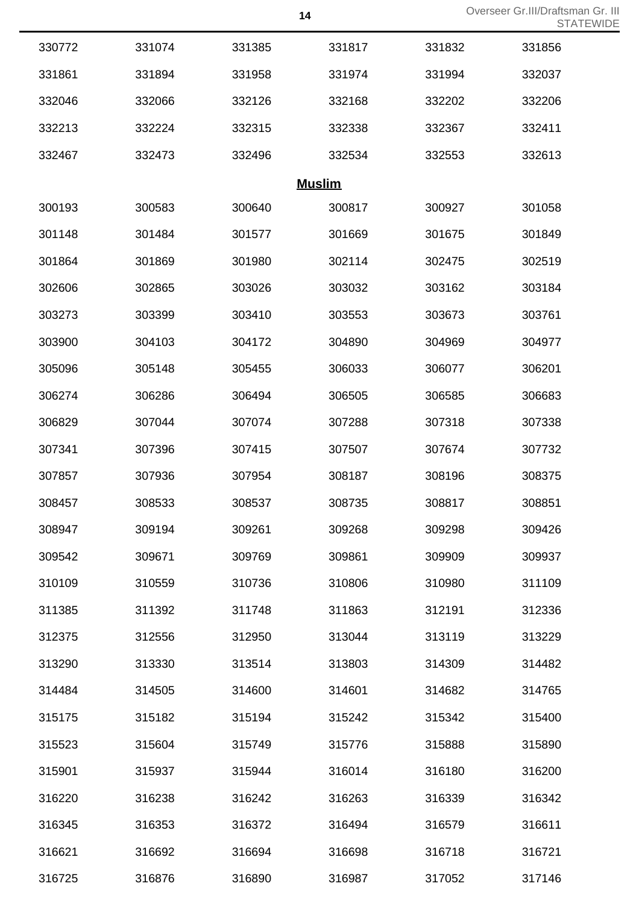Overseer Gr.III/Draftsman Gr. III<br> **14** Overseer Gr.III/Draftsman Gr. III STATEWIDE

|        |        |               |        |        | 5 I A I |
|--------|--------|---------------|--------|--------|---------|
| 330772 | 331074 | 331385        | 331817 | 331832 | 331856  |
| 331861 | 331894 | 331958        | 331974 | 331994 | 332037  |
| 332046 | 332066 | 332126        | 332168 | 332202 | 332206  |
| 332213 | 332224 | 332315        | 332338 | 332367 | 332411  |
| 332467 | 332473 | 332496        | 332534 | 332553 | 332613  |
|        |        | <b>Muslim</b> |        |        |         |
| 300193 | 300583 | 300640        | 300817 | 300927 | 301058  |
| 301148 | 301484 | 301577        | 301669 | 301675 | 301849  |
| 301864 | 301869 | 301980        | 302114 | 302475 | 302519  |
| 302606 | 302865 | 303026        | 303032 | 303162 | 303184  |
| 303273 | 303399 | 303410        | 303553 | 303673 | 303761  |
| 303900 | 304103 | 304172        | 304890 | 304969 | 304977  |
| 305096 | 305148 | 305455        | 306033 | 306077 | 306201  |
| 306274 | 306286 | 306494        | 306505 | 306585 | 306683  |
| 306829 | 307044 | 307074        | 307288 | 307318 | 307338  |
| 307341 | 307396 | 307415        | 307507 | 307674 | 307732  |
| 307857 | 307936 | 307954        | 308187 | 308196 | 308375  |
| 308457 | 308533 | 308537        | 308735 | 308817 | 308851  |
| 308947 | 309194 | 309261        | 309268 | 309298 | 309426  |
| 309542 | 309671 | 309769        | 309861 | 309909 | 309937  |
| 310109 | 310559 | 310736        | 310806 | 310980 | 311109  |
| 311385 | 311392 | 311748        | 311863 | 312191 | 312336  |
| 312375 | 312556 | 312950        | 313044 | 313119 | 313229  |
| 313290 | 313330 | 313514        | 313803 | 314309 | 314482  |
| 314484 | 314505 | 314600        | 314601 | 314682 | 314765  |
| 315175 | 315182 | 315194        | 315242 | 315342 | 315400  |
| 315523 | 315604 | 315749        | 315776 | 315888 | 315890  |
| 315901 | 315937 | 315944        | 316014 | 316180 | 316200  |
| 316220 | 316238 | 316242        | 316263 | 316339 | 316342  |
| 316345 | 316353 | 316372        | 316494 | 316579 | 316611  |
| 316621 | 316692 | 316694        | 316698 | 316718 | 316721  |
| 316725 | 316876 | 316890        | 316987 | 317052 | 317146  |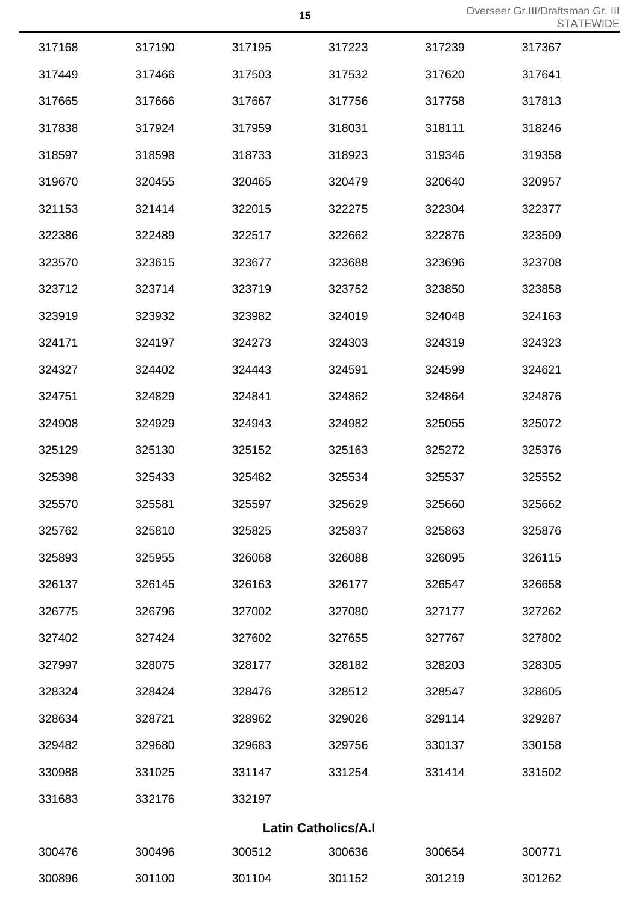| 317168 | 317190 | 317195 | 317223                     | 317239 | 317367 |
|--------|--------|--------|----------------------------|--------|--------|
| 317449 | 317466 | 317503 | 317532                     | 317620 | 317641 |
| 317665 | 317666 | 317667 | 317756                     | 317758 | 317813 |
| 317838 | 317924 | 317959 | 318031                     | 318111 | 318246 |
| 318597 | 318598 | 318733 | 318923                     | 319346 | 319358 |
| 319670 | 320455 | 320465 | 320479                     | 320640 | 320957 |
| 321153 | 321414 | 322015 | 322275                     | 322304 | 322377 |
| 322386 | 322489 | 322517 | 322662                     | 322876 | 323509 |
| 323570 | 323615 | 323677 | 323688                     | 323696 | 323708 |
| 323712 | 323714 | 323719 | 323752                     | 323850 | 323858 |
| 323919 | 323932 | 323982 | 324019                     | 324048 | 324163 |
| 324171 | 324197 | 324273 | 324303                     | 324319 | 324323 |
| 324327 | 324402 | 324443 | 324591                     | 324599 | 324621 |
| 324751 | 324829 | 324841 | 324862                     | 324864 | 324876 |
| 324908 | 324929 | 324943 | 324982                     | 325055 | 325072 |
| 325129 | 325130 | 325152 | 325163                     | 325272 | 325376 |
| 325398 | 325433 | 325482 | 325534                     | 325537 | 325552 |
| 325570 | 325581 | 325597 | 325629                     | 325660 | 325662 |
| 325762 | 325810 | 325825 | 325837                     | 325863 | 325876 |
| 325893 | 325955 | 326068 | 326088                     | 326095 | 326115 |
| 326137 | 326145 | 326163 | 326177                     | 326547 | 326658 |
| 326775 | 326796 | 327002 | 327080                     | 327177 | 327262 |
| 327402 | 327424 | 327602 | 327655                     | 327767 | 327802 |
| 327997 | 328075 | 328177 | 328182                     | 328203 | 328305 |
| 328324 | 328424 | 328476 | 328512                     | 328547 | 328605 |
| 328634 | 328721 | 328962 | 329026                     | 329114 | 329287 |
| 329482 | 329680 | 329683 | 329756                     | 330137 | 330158 |
| 330988 | 331025 | 331147 | 331254                     | 331414 | 331502 |
| 331683 | 332176 | 332197 |                            |        |        |
|        |        |        | <b>Latin Catholics/A.I</b> |        |        |
| 300476 | 300496 | 300512 | 300636                     | 300654 | 300771 |
| 300896 | 301100 | 301104 | 301152                     | 301219 | 301262 |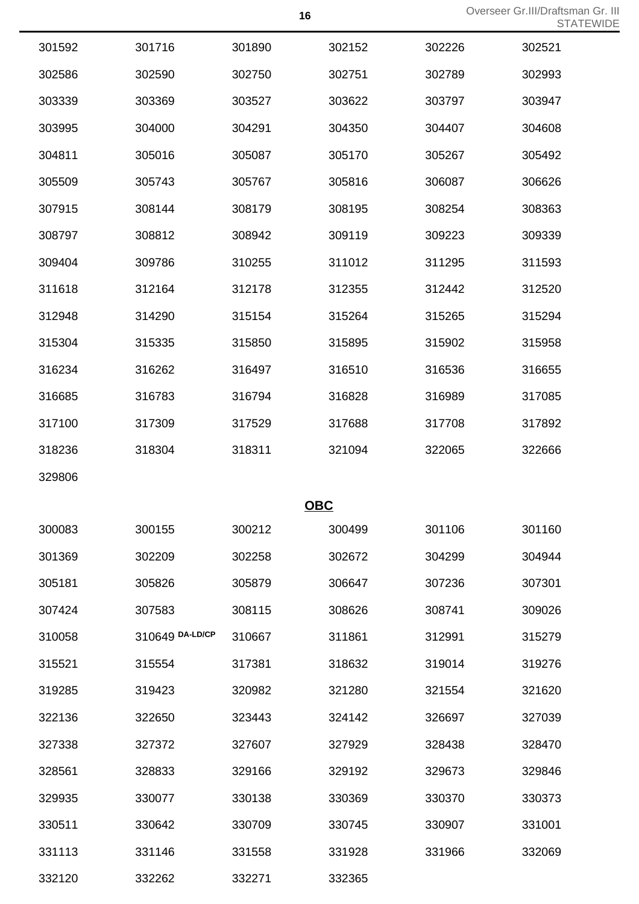|        |                 |            |        |        | 5 I A  |
|--------|-----------------|------------|--------|--------|--------|
| 301592 | 301716          | 301890     | 302152 | 302226 | 302521 |
| 302586 | 302590          | 302750     | 302751 | 302789 | 302993 |
| 303339 | 303369          | 303527     | 303622 | 303797 | 303947 |
| 303995 | 304000          | 304291     | 304350 | 304407 | 304608 |
| 304811 | 305016          | 305087     | 305170 | 305267 | 305492 |
| 305509 | 305743          | 305767     | 305816 | 306087 | 306626 |
| 307915 | 308144          | 308179     | 308195 | 308254 | 308363 |
| 308797 | 308812          | 308942     | 309119 | 309223 | 309339 |
| 309404 | 309786          | 310255     | 311012 | 311295 | 311593 |
| 311618 | 312164          | 312178     | 312355 | 312442 | 312520 |
| 312948 | 314290          | 315154     | 315264 | 315265 | 315294 |
| 315304 | 315335          | 315850     | 315895 | 315902 | 315958 |
| 316234 | 316262          | 316497     | 316510 | 316536 | 316655 |
| 316685 | 316783          | 316794     | 316828 | 316989 | 317085 |
| 317100 | 317309          | 317529     | 317688 | 317708 | 317892 |
| 318236 | 318304          | 318311     | 321094 | 322065 | 322666 |
| 329806 |                 |            |        |        |        |
|        |                 | <b>OBC</b> |        |        |        |
| 300083 | 300155          | 300212     | 300499 | 301106 | 301160 |
| 301369 | 302209          | 302258     | 302672 | 304299 | 304944 |
| 305181 | 305826          | 305879     | 306647 | 307236 | 307301 |
| 307424 | 307583          | 308115     | 308626 | 308741 | 309026 |
| 310058 | 310649 DA-LD/CP | 310667     | 311861 | 312991 | 315279 |
| 315521 | 315554          | 317381     | 318632 | 319014 | 319276 |
| 319285 | 319423          | 320982     | 321280 | 321554 | 321620 |
| 322136 | 322650          | 323443     | 324142 | 326697 | 327039 |
| 327338 | 327372          | 327607     | 327929 | 328438 | 328470 |
| 328561 | 328833          | 329166     | 329192 | 329673 | 329846 |
| 329935 | 330077          | 330138     | 330369 | 330370 | 330373 |
| 330511 | 330642          | 330709     | 330745 | 330907 | 331001 |
| 331113 | 331146          | 331558     | 331928 | 331966 | 332069 |
| 332120 | 332262          | 332271     | 332365 |        |        |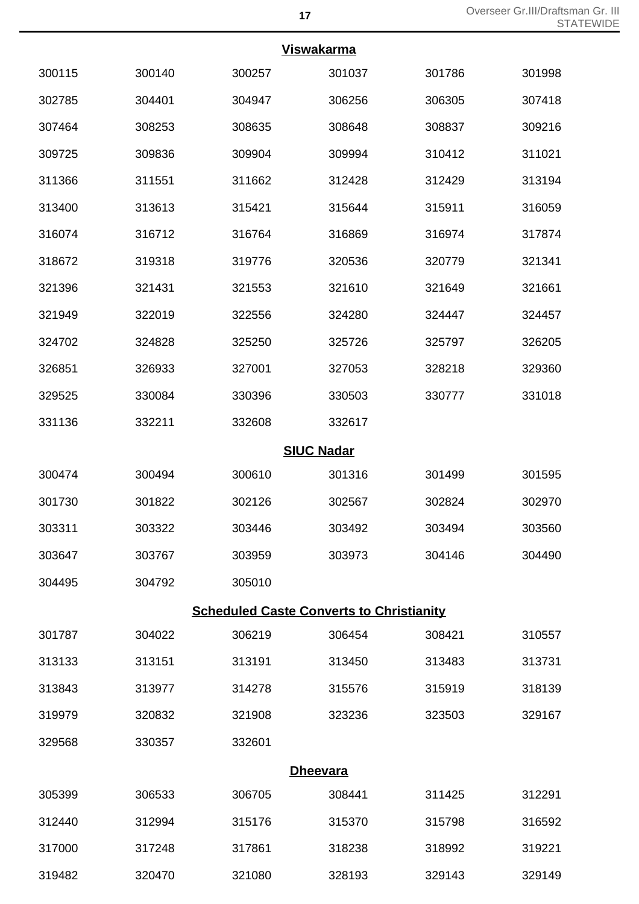| <b>Viswakarma</b> |        |                                                 |                   |        |        |  |
|-------------------|--------|-------------------------------------------------|-------------------|--------|--------|--|
|                   |        |                                                 |                   |        |        |  |
| 300115            | 300140 | 300257                                          | 301037            | 301786 | 301998 |  |
| 302785            | 304401 | 304947                                          | 306256            | 306305 | 307418 |  |
| 307464            | 308253 | 308635                                          | 308648            | 308837 | 309216 |  |
| 309725            | 309836 | 309904                                          | 309994            | 310412 | 311021 |  |
| 311366            | 311551 | 311662                                          | 312428            | 312429 | 313194 |  |
| 313400            | 313613 | 315421                                          | 315644            | 315911 | 316059 |  |
| 316074            | 316712 | 316764                                          | 316869            | 316974 | 317874 |  |
| 318672            | 319318 | 319776                                          | 320536            | 320779 | 321341 |  |
| 321396            | 321431 | 321553                                          | 321610            | 321649 | 321661 |  |
| 321949            | 322019 | 322556                                          | 324280            | 324447 | 324457 |  |
| 324702            | 324828 | 325250                                          | 325726            | 325797 | 326205 |  |
| 326851            | 326933 | 327001                                          | 327053            | 328218 | 329360 |  |
| 329525            | 330084 | 330396                                          | 330503            | 330777 | 331018 |  |
| 331136            | 332211 | 332608                                          | 332617            |        |        |  |
|                   |        |                                                 | <b>SIUC Nadar</b> |        |        |  |
| 300474            | 300494 | 300610                                          | 301316            | 301499 | 301595 |  |
| 301730            | 301822 | 302126                                          | 302567            | 302824 | 302970 |  |
| 303311            | 303322 | 303446                                          | 303492            | 303494 | 303560 |  |
| 303647            | 303767 | 303959                                          | 303973            | 304146 | 304490 |  |
| 304495            | 304792 | 305010                                          |                   |        |        |  |
|                   |        | <b>Scheduled Caste Converts to Christianity</b> |                   |        |        |  |
| 301787            | 304022 | 306219                                          | 306454            | 308421 | 310557 |  |
| 313133            | 313151 | 313191                                          | 313450            | 313483 | 313731 |  |
| 313843            | 313977 | 314278                                          | 315576            | 315919 | 318139 |  |
| 319979            | 320832 | 321908                                          | 323236            | 323503 | 329167 |  |
| 329568            | 330357 | 332601                                          |                   |        |        |  |
|                   |        |                                                 | <b>Dheevara</b>   |        |        |  |
| 305399            | 306533 | 306705                                          | 308441            | 311425 | 312291 |  |
| 312440            | 312994 | 315176                                          | 315370            | 315798 | 316592 |  |

317248 317861 318238 318992 319221

320470 321080 328193 329143 329149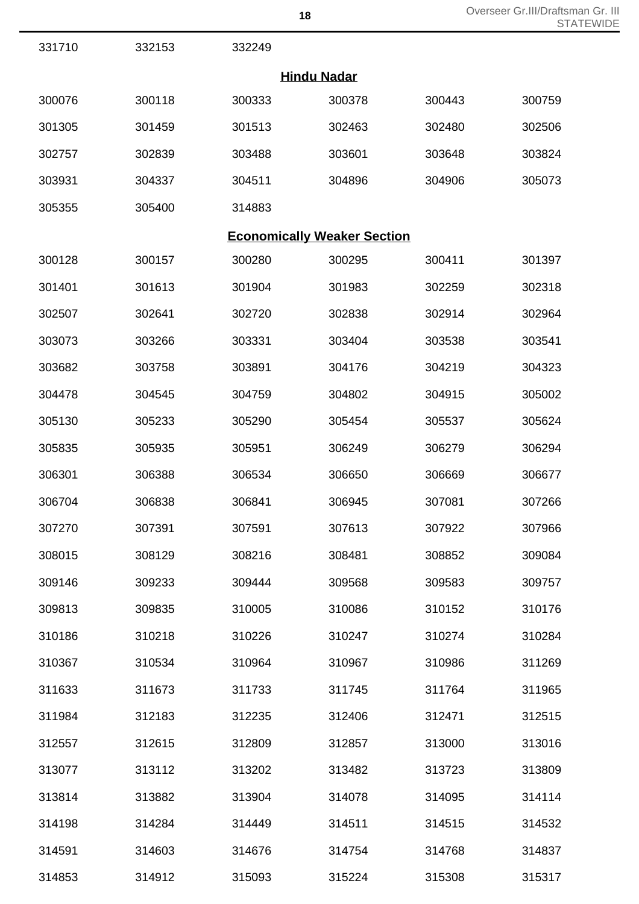| 331710 | 332153 | 332249 |                                    |        |        |
|--------|--------|--------|------------------------------------|--------|--------|
|        |        |        | <b>Hindu Nadar</b>                 |        |        |
| 300076 | 300118 | 300333 | 300378                             | 300443 | 300759 |
| 301305 | 301459 | 301513 | 302463                             | 302480 | 302506 |
| 302757 | 302839 | 303488 | 303601                             | 303648 | 303824 |
| 303931 | 304337 | 304511 | 304896                             | 304906 | 305073 |
| 305355 | 305400 | 314883 |                                    |        |        |
|        |        |        | <b>Economically Weaker Section</b> |        |        |
| 300128 | 300157 | 300280 | 300295                             | 300411 | 301397 |
| 301401 | 301613 | 301904 | 301983                             | 302259 | 302318 |
| 302507 | 302641 | 302720 | 302838                             | 302914 | 302964 |
| 303073 | 303266 | 303331 | 303404                             | 303538 | 303541 |
| 303682 | 303758 | 303891 | 304176                             | 304219 | 304323 |
| 304478 | 304545 | 304759 | 304802                             | 304915 | 305002 |
| 305130 | 305233 | 305290 | 305454                             | 305537 | 305624 |
| 305835 | 305935 | 305951 | 306249                             | 306279 | 306294 |
| 306301 | 306388 | 306534 | 306650                             | 306669 | 306677 |
| 306704 | 306838 | 306841 | 306945                             | 307081 | 307266 |
| 307270 | 307391 | 307591 | 307613                             | 307922 | 307966 |
| 308015 | 308129 | 308216 | 308481                             | 308852 | 309084 |
| 309146 | 309233 | 309444 | 309568                             | 309583 | 309757 |
| 309813 | 309835 | 310005 | 310086                             | 310152 | 310176 |
| 310186 | 310218 | 310226 | 310247                             | 310274 | 310284 |
| 310367 | 310534 | 310964 | 310967                             | 310986 | 311269 |
| 311633 | 311673 | 311733 | 311745                             | 311764 | 311965 |
| 311984 | 312183 | 312235 | 312406                             | 312471 | 312515 |
| 312557 | 312615 | 312809 | 312857                             | 313000 | 313016 |
| 313077 | 313112 | 313202 | 313482                             | 313723 | 313809 |
| 313814 | 313882 | 313904 | 314078                             | 314095 | 314114 |
| 314198 | 314284 | 314449 | 314511                             | 314515 | 314532 |
| 314591 | 314603 | 314676 | 314754                             | 314768 | 314837 |

314912 315093 315224 315308 315317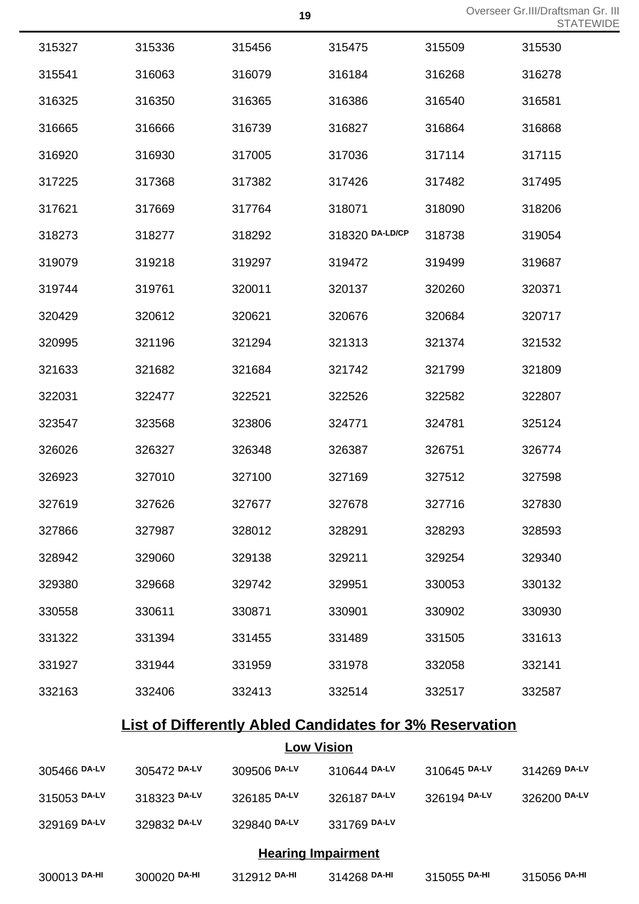Overseer Gr.III/Draftsman Gr. III<br> **19** Overseer Gr.III/Draftsman Gr. STATEWIDE

| 315327 | 315336 | 315456 | 315475          | 315509 | 315530 |
|--------|--------|--------|-----------------|--------|--------|
| 315541 | 316063 | 316079 | 316184          | 316268 | 316278 |
| 316325 | 316350 | 316365 | 316386          | 316540 | 316581 |
| 316665 | 316666 | 316739 | 316827          | 316864 | 316868 |
| 316920 | 316930 | 317005 | 317036          | 317114 | 317115 |
| 317225 | 317368 | 317382 | 317426          | 317482 | 317495 |
| 317621 | 317669 | 317764 | 318071          | 318090 | 318206 |
| 318273 | 318277 | 318292 | 318320 DA-LD/CP | 318738 | 319054 |
| 319079 | 319218 | 319297 | 319472          | 319499 | 319687 |
| 319744 | 319761 | 320011 | 320137          | 320260 | 320371 |
| 320429 | 320612 | 320621 | 320676          | 320684 | 320717 |
| 320995 | 321196 | 321294 | 321313          | 321374 | 321532 |
| 321633 | 321682 | 321684 | 321742          | 321799 | 321809 |
| 322031 | 322477 | 322521 | 322526          | 322582 | 322807 |
| 323547 | 323568 | 323806 | 324771          | 324781 | 325124 |
| 326026 | 326327 | 326348 | 326387          | 326751 | 326774 |
| 326923 | 327010 | 327100 | 327169          | 327512 | 327598 |
| 327619 | 327626 | 327677 | 327678          | 327716 | 327830 |
| 327866 | 327987 | 328012 | 328291          | 328293 | 328593 |
| 328942 | 329060 | 329138 | 329211          | 329254 | 329340 |
| 329380 | 329668 | 329742 | 329951          | 330053 | 330132 |
| 330558 | 330611 | 330871 | 330901          | 330902 | 330930 |
| 331322 | 331394 | 331455 | 331489          | 331505 | 331613 |
| 331927 | 331944 | 331959 | 331978          | 332058 | 332141 |
| 332163 | 332406 | 332413 | 332514          | 332517 | 332587 |

## **List of Differently Abled Candidates for 3% Reservation**

## **Low Vision**

| 305466 DA-LV | 305472 DA-LV | 309506 DA-LV              | 310644 DA-LV | 310645 DA-LV | 314269 DA-LV |
|--------------|--------------|---------------------------|--------------|--------------|--------------|
| 315053 DA-LV | 318323 DA-LV | 326185 DA-LV              | 326187 DA-LV | 326194 DA-LV | 326200 DA-LV |
| 329169 DA-LV | 329832 DA-LV | 329840 DA-LV              | 331769 DA-LV |              |              |
|              |              | <b>Hearing Impairment</b> |              |              |              |
| 300013 DA-HI | 300020 DA-HI | 312912 DA-HI              | 314268 DA-HI | 315055 DA-HI | 315056 DA-HI |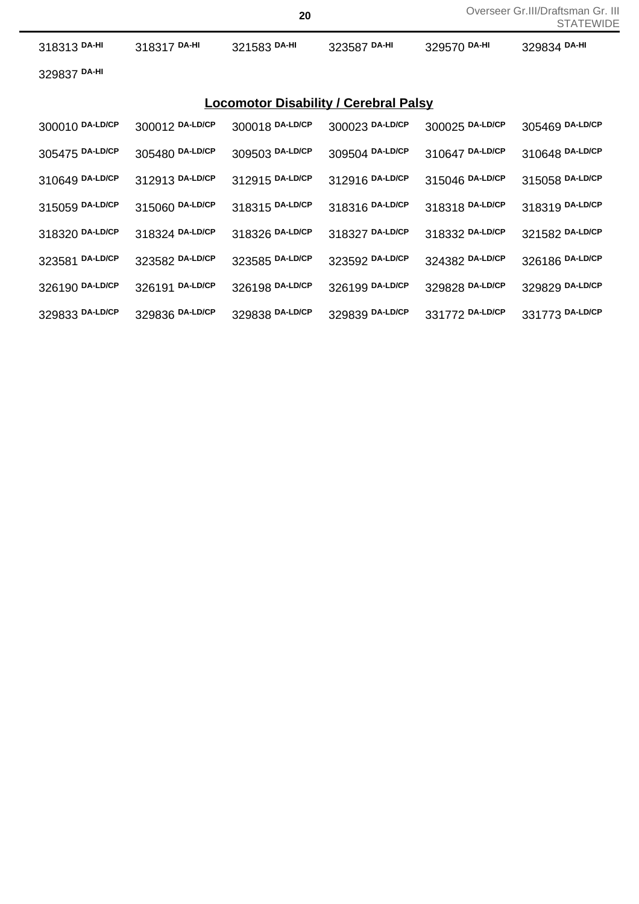|                 |                 |                 |                                              |                 | UIAILVVIL       |
|-----------------|-----------------|-----------------|----------------------------------------------|-----------------|-----------------|
| 318313 DA-HI    | 318317 DA-HI    | 321583 DA-HI    | 323587 DA-HI                                 | 329570 DA-HI    | 329834 DA-HI    |
| 329837 DA-HI    |                 |                 |                                              |                 |                 |
|                 |                 |                 | <b>Locomotor Disability / Cerebral Palsy</b> |                 |                 |
| 300010 DA-LD/CP | 300012 DA-LD/CP | 300018 DA-LD/CP | 300023 DA-LD/CP                              | 300025 DA-LD/CP | 305469 DA-LD/CP |
| 305475 DA-LD/CP | 305480 DA-LD/CP | 309503 DA-LD/CP | 309504 DA-LD/CP                              | 310647 DA-LD/CP | 310648 DA-LD/CP |
| 310649 DA-LD/CP | 312913 DA-LD/CP | 312915 DA-LD/CP | 312916 DA-LD/CP                              | 315046 DA-LD/CP | 315058 DA-LD/CP |
| 315059 DA-LD/CP | 315060 DA-LD/CP | 318315 DA-LD/CP | 318316 DA-LD/CP                              | 318318 DA-LD/CP | 318319 DA-LD/CP |
| 318320 DA-LD/CP | 318324 DA-LD/CP | 318326 DA-LD/CP | 318327 DA-LD/CP                              | 318332 DA-LD/CP | 321582 DA-LD/CP |
| 323581 DA-LD/CP | 323582 DA-LD/CP | 323585 DA-LD/CP | 323592 DA-LD/CP                              | 324382 DA-LD/CP | 326186 DA-LD/CP |
| 326190 DA-LD/CP | 326191 DA-LD/CP | 326198 DA-LD/CP | 326199 DA-LD/CP                              | 329828 DA-LD/CP | 329829 DA-LD/CP |
| 329833 DA-LD/CP | 329836 DA-LD/CP | 329838 DA-LD/CP | 329839 DA-LD/CP                              | 331772 DA-LD/CP | 331773 DA-LD/CP |